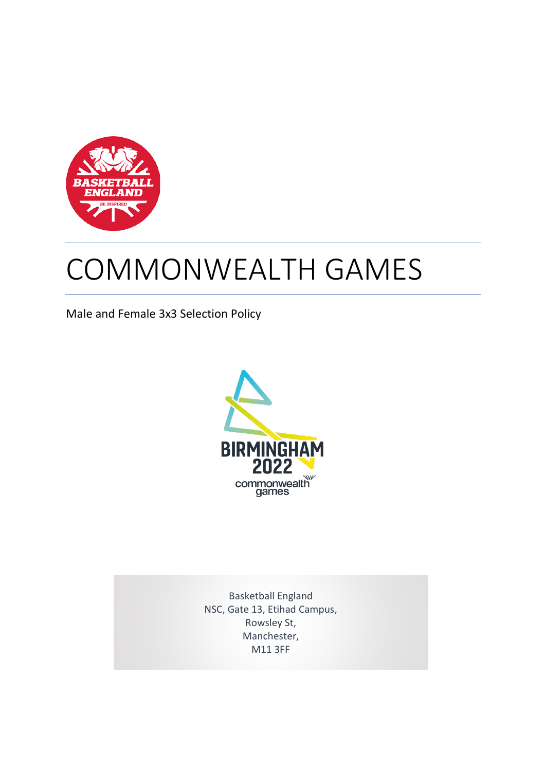

# COMMONWEALTH GAMES

Male and Female 3x3 Selection Policy



Basketball England NSC, Gate 13, Etihad Campus, Rowsley St, Manchester, M11 3FF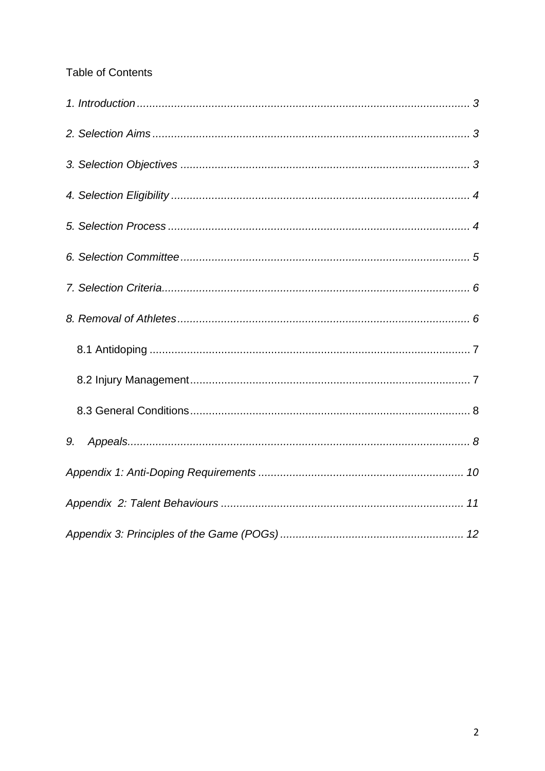# Table of Contents

| 9. |
|----|
|    |
|    |
|    |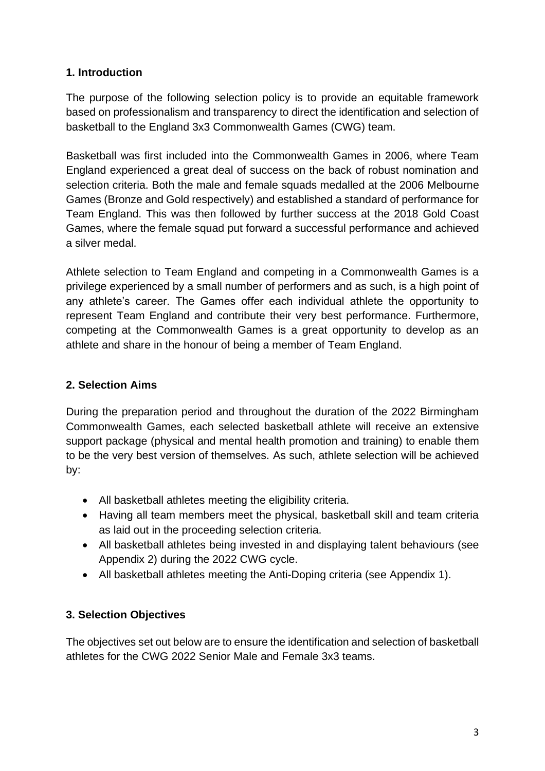# <span id="page-2-0"></span>**1. Introduction**

The purpose of the following selection policy is to provide an equitable framework based on professionalism and transparency to direct the identification and selection of basketball to the England 3x3 Commonwealth Games (CWG) team.

Basketball was first included into the Commonwealth Games in 2006, where Team England experienced a great deal of success on the back of robust nomination and selection criteria. Both the male and female squads medalled at the 2006 Melbourne Games (Bronze and Gold respectively) and established a standard of performance for Team England. This was then followed by further success at the 2018 Gold Coast Games, where the female squad put forward a successful performance and achieved a silver medal.

Athlete selection to Team England and competing in a Commonwealth Games is a privilege experienced by a small number of performers and as such, is a high point of any athlete's career. The Games offer each individual athlete the opportunity to represent Team England and contribute their very best performance. Furthermore, competing at the Commonwealth Games is a great opportunity to develop as an athlete and share in the honour of being a member of Team England.

# <span id="page-2-1"></span>**2. Selection Aims**

During the preparation period and throughout the duration of the 2022 Birmingham Commonwealth Games, each selected basketball athlete will receive an extensive support package (physical and mental health promotion and training) to enable them to be the very best version of themselves. As such, athlete selection will be achieved by:

- All basketball athletes meeting the eligibility criteria.
- Having all team members meet the physical, basketball skill and team criteria as laid out in the proceeding selection criteria.
- All basketball athletes being invested in and displaying talent behaviours (see Appendix 2) during the 2022 CWG cycle.
- All basketball athletes meeting the Anti-Doping criteria (see Appendix 1).

# <span id="page-2-2"></span>**3. Selection Objectives**

The objectives set out below are to ensure the identification and selection of basketball athletes for the CWG 2022 Senior Male and Female 3x3 teams.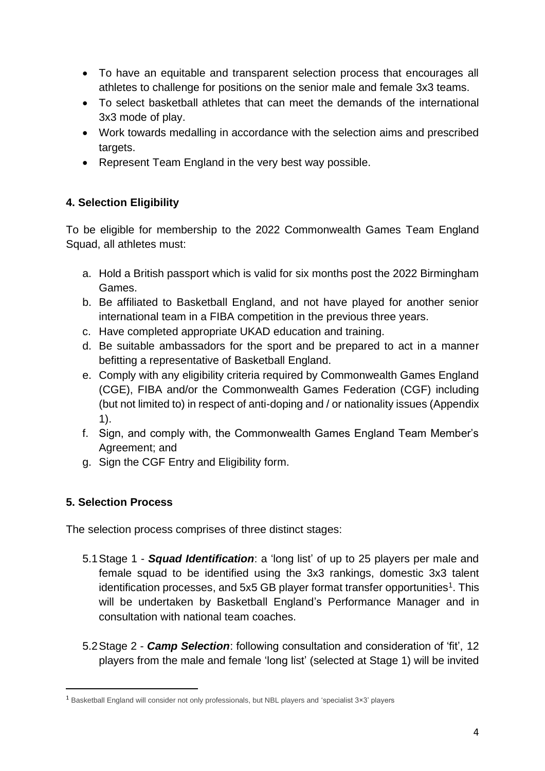- To have an equitable and transparent selection process that encourages all athletes to challenge for positions on the senior male and female 3x3 teams.
- To select basketball athletes that can meet the demands of the international 3x3 mode of play.
- Work towards medalling in accordance with the selection aims and prescribed targets.
- Represent Team England in the very best way possible.

# <span id="page-3-0"></span>**4. Selection Eligibility**

To be eligible for membership to the 2022 Commonwealth Games Team England Squad, all athletes must:

- a. Hold a British passport which is valid for six months post the 2022 Birmingham Games.
- b. Be affiliated to Basketball England, and not have played for another senior international team in a FIBA competition in the previous three years.
- c. Have completed appropriate UKAD education and training.
- d. Be suitable ambassadors for the sport and be prepared to act in a manner befitting a representative of Basketball England.
- e. Comply with any eligibility criteria required by Commonwealth Games England (CGE), FIBA and/or the Commonwealth Games Federation (CGF) including (but not limited to) in respect of anti-doping and / or nationality issues (Appendix 1).
- f. Sign, and comply with, the Commonwealth Games England Team Member's Agreement; and
- g. Sign the CGF Entry and Eligibility form.

# <span id="page-3-1"></span>**5. Selection Process**

The selection process comprises of three distinct stages:

- 5.1Stage 1 *Squad Identification*: a 'long list' of up to 25 players per male and female squad to be identified using the 3x3 rankings, domestic 3x3 talent identification processes, and 5x5 GB player format transfer opportunities<sup>1</sup>. This will be undertaken by Basketball England's Performance Manager and in consultation with national team coaches.
- 5.2Stage 2 *Camp Selection*: following consultation and consideration of 'fit', 12 players from the male and female 'long list' (selected at Stage 1) will be invited

<sup>1</sup> Basketball England will consider not only professionals, but NBL players and 'specialist 3×3' players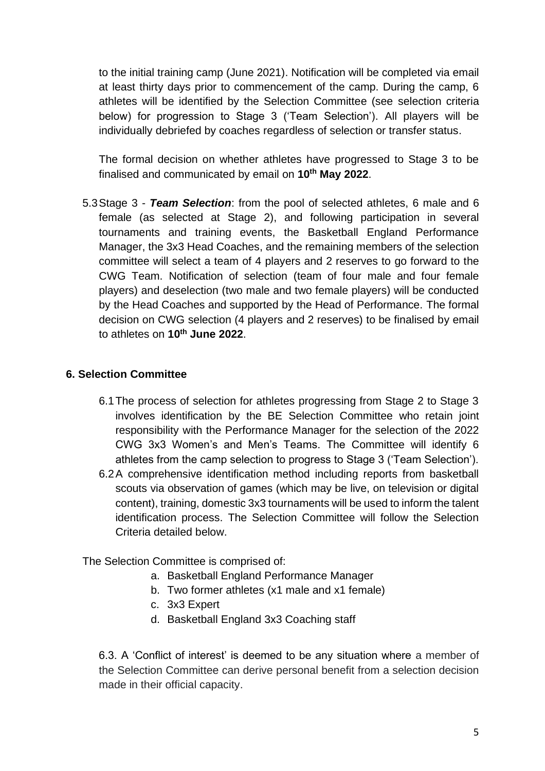to the initial training camp (June 2021). Notification will be completed via email at least thirty days prior to commencement of the camp. During the camp, 6 athletes will be identified by the Selection Committee (see selection criteria below) for progression to Stage 3 ('Team Selection'). All players will be individually debriefed by coaches regardless of selection or transfer status.

The formal decision on whether athletes have progressed to Stage 3 to be finalised and communicated by email on **10th May 2022**.

5.3Stage 3 - *Team Selection*: from the pool of selected athletes, 6 male and 6 female (as selected at Stage 2), and following participation in several tournaments and training events, the Basketball England Performance Manager, the 3x3 Head Coaches, and the remaining members of the selection committee will select a team of 4 players and 2 reserves to go forward to the CWG Team. Notification of selection (team of four male and four female players) and deselection (two male and two female players) will be conducted by the Head Coaches and supported by the Head of Performance. The formal decision on CWG selection (4 players and 2 reserves) to be finalised by email to athletes on **10th June 2022**.

#### <span id="page-4-0"></span>**6. Selection Committee**

- 6.1The process of selection for athletes progressing from Stage 2 to Stage 3 involves identification by the BE Selection Committee who retain joint responsibility with the Performance Manager for the selection of the 2022 CWG 3x3 Women's and Men's Teams. The Committee will identify 6 athletes from the camp selection to progress to Stage 3 ('Team Selection').
- 6.2A comprehensive identification method including reports from basketball scouts via observation of games (which may be live, on television or digital content), training, domestic 3x3 tournaments will be used to inform the talent identification process. The Selection Committee will follow the Selection Criteria detailed below.

The Selection Committee is comprised of:

- a. Basketball England Performance Manager
- b. Two former athletes (x1 male and x1 female)
- c. 3x3 Expert
- d. Basketball England 3x3 Coaching staff

6.3. A 'Conflict of interest' is deemed to be any situation where a member of the Selection Committee can derive personal benefit from a selection decision made in their official capacity.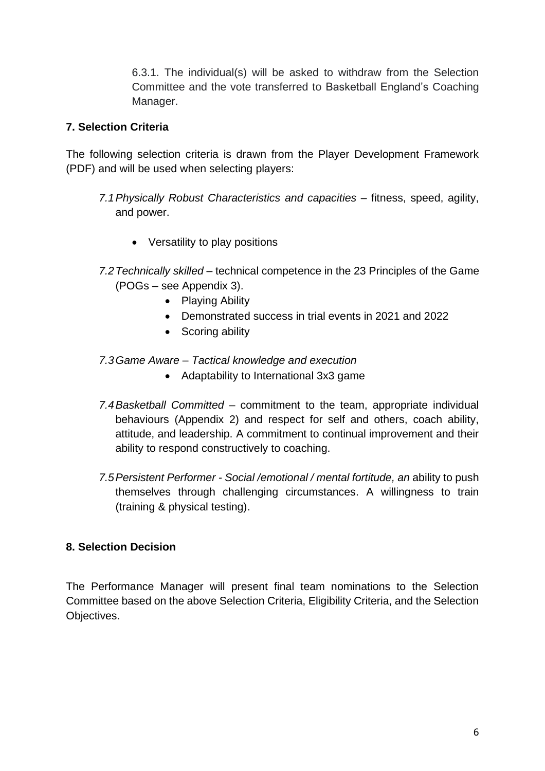6.3.1. The individual(s) will be asked to withdraw from the Selection Committee and the vote transferred to Basketball England's Coaching Manager.

#### <span id="page-5-0"></span>**7. Selection Criteria**

The following selection criteria is drawn from the Player Development Framework (PDF) and will be used when selecting players:

- *7.1Physically Robust Characteristics and capacities* fitness, speed, agility, and power.
	- Versatility to play positions
- *7.2Technically skilled* technical competence in the 23 Principles of the Game (POGs – see Appendix 3).
	- Playing Ability
	- Demonstrated success in trial events in 2021 and 2022
	- Scoring ability
- *7.3Game Aware – Tactical knowledge and execution*
	- Adaptability to International 3x3 game
- *7.4Basketball Committed* commitment to the team, appropriate individual behaviours (Appendix 2) and respect for self and others, coach ability, attitude, and leadership. A commitment to continual improvement and their ability to respond constructively to coaching.
- *7.5Persistent Performer - Social /emotional / mental fortitude, an* ability to push themselves through challenging circumstances. A willingness to train (training & physical testing).

#### <span id="page-5-1"></span>**8. Selection Decision**

The Performance Manager will present final team nominations to the Selection Committee based on the above Selection Criteria, Eligibility Criteria, and the Selection Objectives.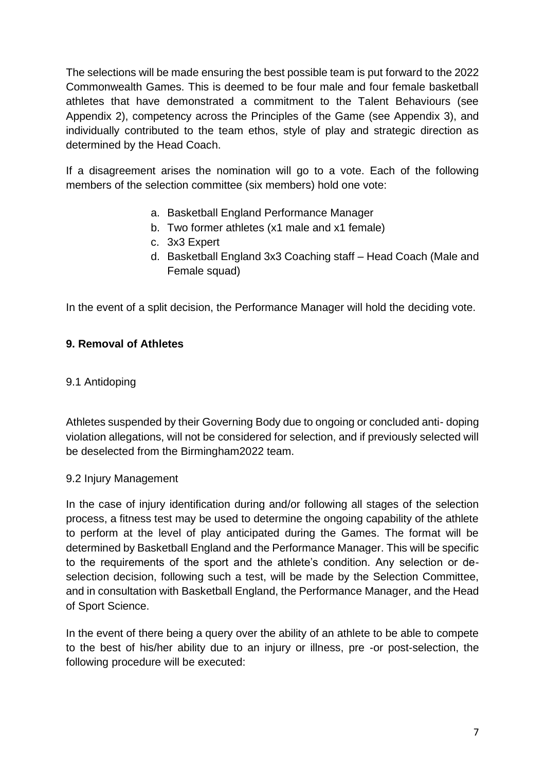The selections will be made ensuring the best possible team is put forward to the 2022 Commonwealth Games. This is deemed to be four male and four female basketball athletes that have demonstrated a commitment to the Talent Behaviours (see Appendix 2), competency across the Principles of the Game (see Appendix 3), and individually contributed to the team ethos, style of play and strategic direction as determined by the Head Coach.

If a disagreement arises the nomination will go to a vote. Each of the following members of the selection committee (six members) hold one vote:

- a. Basketball England Performance Manager
- b. Two former athletes (x1 male and x1 female)
- c. 3x3 Expert
- d. Basketball England 3x3 Coaching staff Head Coach (Male and Female squad)

In the event of a split decision, the Performance Manager will hold the deciding vote.

#### **9. Removal of Athletes**

#### <span id="page-6-0"></span>9.1 Antidoping

Athletes suspended by their Governing Body due to ongoing or concluded anti- doping violation allegations, will not be considered for selection, and if previously selected will be deselected from the Birmingham2022 team.

#### <span id="page-6-1"></span>9.2 Injury Management

In the case of injury identification during and/or following all stages of the selection process, a fitness test may be used to determine the ongoing capability of the athlete to perform at the level of play anticipated during the Games. The format will be determined by Basketball England and the Performance Manager. This will be specific to the requirements of the sport and the athlete's condition. Any selection or deselection decision, following such a test, will be made by the Selection Committee, and in consultation with Basketball England, the Performance Manager, and the Head of Sport Science.

In the event of there being a query over the ability of an athlete to be able to compete to the best of his/her ability due to an injury or illness, pre -or post-selection, the following procedure will be executed: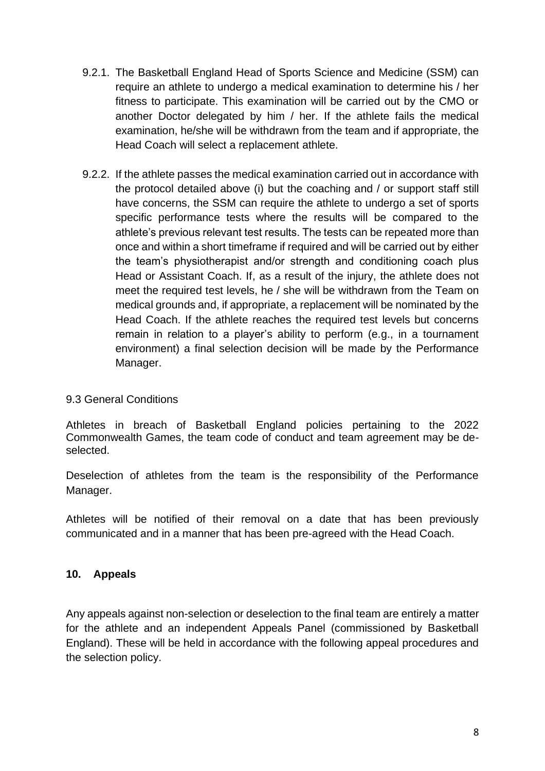- 9.2.1. The Basketball England Head of Sports Science and Medicine (SSM) can require an athlete to undergo a medical examination to determine his / her fitness to participate. This examination will be carried out by the CMO or another Doctor delegated by him / her. If the athlete fails the medical examination, he/she will be withdrawn from the team and if appropriate, the Head Coach will select a replacement athlete.
- 9.2.2. If the athlete passes the medical examination carried out in accordance with the protocol detailed above (i) but the coaching and / or support staff still have concerns, the SSM can require the athlete to undergo a set of sports specific performance tests where the results will be compared to the athlete's previous relevant test results. The tests can be repeated more than once and within a short timeframe if required and will be carried out by either the team's physiotherapist and/or strength and conditioning coach plus Head or Assistant Coach. If, as a result of the injury, the athlete does not meet the required test levels, he / she will be withdrawn from the Team on medical grounds and, if appropriate, a replacement will be nominated by the Head Coach. If the athlete reaches the required test levels but concerns remain in relation to a player's ability to perform (e.g., in a tournament environment) a final selection decision will be made by the Performance Manager.

#### <span id="page-7-0"></span>9.3 General Conditions

Athletes in breach of Basketball England policies pertaining to the 2022 Commonwealth Games, the team code of conduct and team agreement may be deselected.

Deselection of athletes from the team is the responsibility of the Performance Manager.

Athletes will be notified of their removal on a date that has been previously communicated and in a manner that has been pre-agreed with the Head Coach.

#### <span id="page-7-1"></span>**10. Appeals**

Any appeals against non-selection or deselection to the final team are entirely a matter for the athlete and an independent Appeals Panel (commissioned by Basketball England). These will be held in accordance with the following appeal procedures and the selection policy.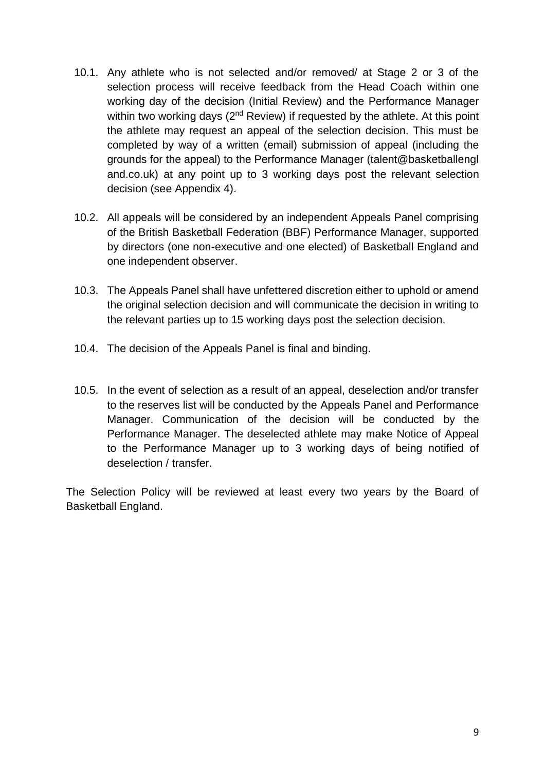- 10.1. Any athlete who is not selected and/or removed/ at Stage 2 or 3 of the selection process will receive feedback from the Head Coach within one working day of the decision (Initial Review) and the Performance Manager within two working days  $(2^{nd}$  Review) if requested by the athlete. At this point the athlete may request an appeal of the selection decision. This must be completed by way of a written (email) submission of appeal (including the grounds for the appeal) to the Performance Manager (talent@basketballengl and.co.uk) at any point up to 3 working days post the relevant selection decision (see Appendix 4).
- 10.2. All appeals will be considered by an independent Appeals Panel comprising of the British Basketball Federation (BBF) Performance Manager, supported by directors (one non-executive and one elected) of Basketball England and one independent observer.
- 10.3. The Appeals Panel shall have unfettered discretion either to uphold or amend the original selection decision and will communicate the decision in writing to the relevant parties up to 15 working days post the selection decision.
- 10.4. The decision of the Appeals Panel is final and binding.
- 10.5. In the event of selection as a result of an appeal, deselection and/or transfer to the reserves list will be conducted by the Appeals Panel and Performance Manager. Communication of the decision will be conducted by the Performance Manager. The deselected athlete may make Notice of Appeal to the Performance Manager up to 3 working days of being notified of deselection / transfer.

The Selection Policy will be reviewed at least every two years by the Board of Basketball England.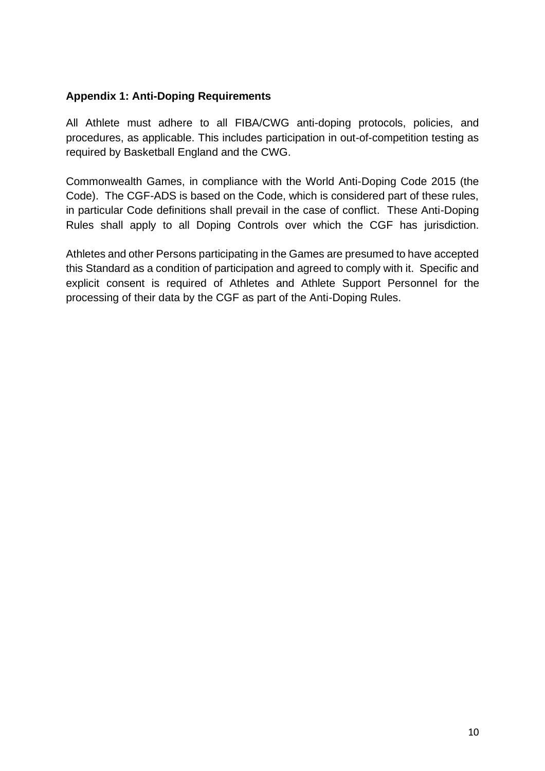#### <span id="page-9-0"></span>**Appendix 1: Anti-Doping Requirements**

All Athlete must adhere to all FIBA/CWG anti-doping protocols, policies, and procedures, as applicable. This includes participation in out-of-competition testing as required by Basketball England and the CWG.

Commonwealth Games, in compliance with the World Anti-Doping Code 2015 (the Code). The CGF-ADS is based on the Code, which is considered part of these rules, in particular Code definitions shall prevail in the case of conflict. These Anti-Doping Rules shall apply to all Doping Controls over which the CGF has jurisdiction.

Athletes and other Persons participating in the Games are presumed to have accepted this Standard as a condition of participation and agreed to comply with it. Specific and explicit consent is required of Athletes and Athlete Support Personnel for the processing of their data by the CGF as part of the Anti-Doping Rules.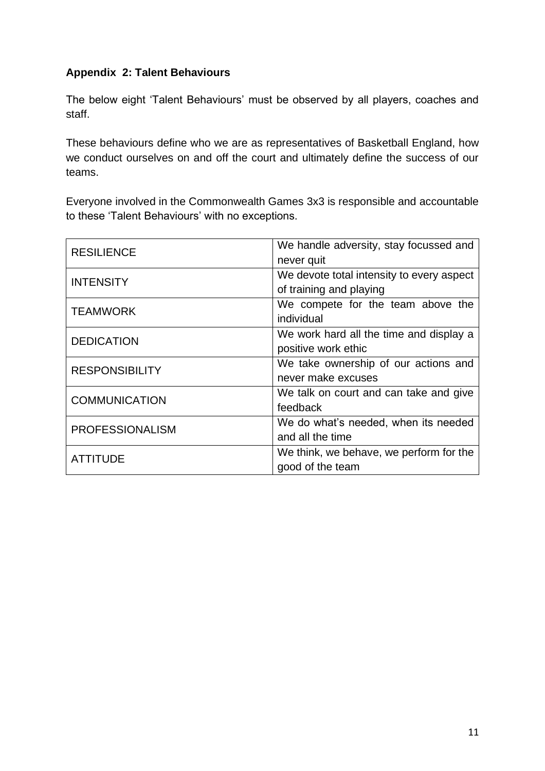# <span id="page-10-0"></span>**Appendix 2: Talent Behaviours**

The below eight 'Talent Behaviours' must be observed by all players, coaches and staff.

These behaviours define who we are as representatives of Basketball England, how we conduct ourselves on and off the court and ultimately define the success of our teams.

Everyone involved in the Commonwealth Games 3x3 is responsible and accountable to these 'Talent Behaviours' with no exceptions.

| <b>RESILIENCE</b>      | We handle adversity, stay focussed and<br>never quit                 |
|------------------------|----------------------------------------------------------------------|
| <b>INTENSITY</b>       | We devote total intensity to every aspect<br>of training and playing |
| <b>TEAMWORK</b>        | We compete for the team above the<br>individual                      |
| <b>DEDICATION</b>      | We work hard all the time and display a<br>positive work ethic       |
| <b>RESPONSIBILITY</b>  | We take ownership of our actions and<br>never make excuses           |
| <b>COMMUNICATION</b>   | We talk on court and can take and give<br>feedback                   |
| <b>PROFESSIONALISM</b> | We do what's needed, when its needed<br>and all the time             |
| <b>ATTITUDE</b>        | We think, we behave, we perform for the<br>good of the team          |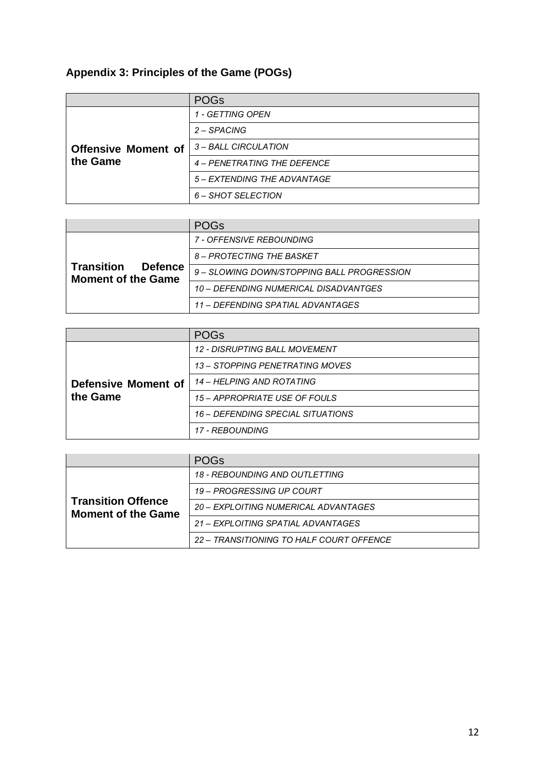# <span id="page-11-0"></span>**Appendix 3: Principles of the Game (POGs)**

|                                        | <b>POGs</b>                 |
|----------------------------------------|-----------------------------|
| <b>Offensive Moment of</b><br>the Game | 1 - GETTING OPEN            |
|                                        | 2 – SPACING                 |
|                                        | 3 – BALL CIRCULATION        |
|                                        | 4 – PENETRATING THE DEFENCE |
|                                        | 5 – EXTENDING THE ADVANTAGE |
|                                        | 6 – SHOT SELECTION          |

|                                                                  | <b>POGs</b>                                |
|------------------------------------------------------------------|--------------------------------------------|
| <b>Transition</b><br><b>Defence</b><br><b>Moment of the Game</b> | 7 - OFFENSIVE REBOUNDING                   |
|                                                                  | 8 – PROTECTING THE BASKET                  |
|                                                                  | 9 – SLOWING DOWN/STOPPING BALL PROGRESSION |
|                                                                  | 10 - DEFENDING NUMERICAL DISADVANTGES      |
|                                                                  | 11 – DEFENDING SPATIAL ADVANTAGES          |

|                                 | <b>POGs</b>                       |
|---------------------------------|-----------------------------------|
| Defensive Moment of<br>the Game | 12 - DISRUPTING BALL MOVEMENT     |
|                                 | 13 - STOPPING PENETRATING MOVES   |
|                                 | 14 – HELPING AND ROTATING         |
|                                 | 15 - APPROPRIATE USE OF FOULS     |
|                                 | 16 – DEFENDING SPECIAL SITUATIONS |
|                                 | <i>17 - RFBOUNDING</i>            |

|                                                        | <b>POGs</b>                              |
|--------------------------------------------------------|------------------------------------------|
| <b>Transition Offence</b><br><b>Moment of the Game</b> | <b>18 - REBOUNDING AND OUTLETTING</b>    |
|                                                        | 19 - PROGRESSING UP COURT                |
|                                                        | 20 - FXPI OITING NUMERICAL ADVANTAGES    |
|                                                        | 21 – FXPI OITING SPATIAI ADVANTAGES      |
|                                                        | 22 – TRANSITIONING TO HALF COURT OFFENCE |